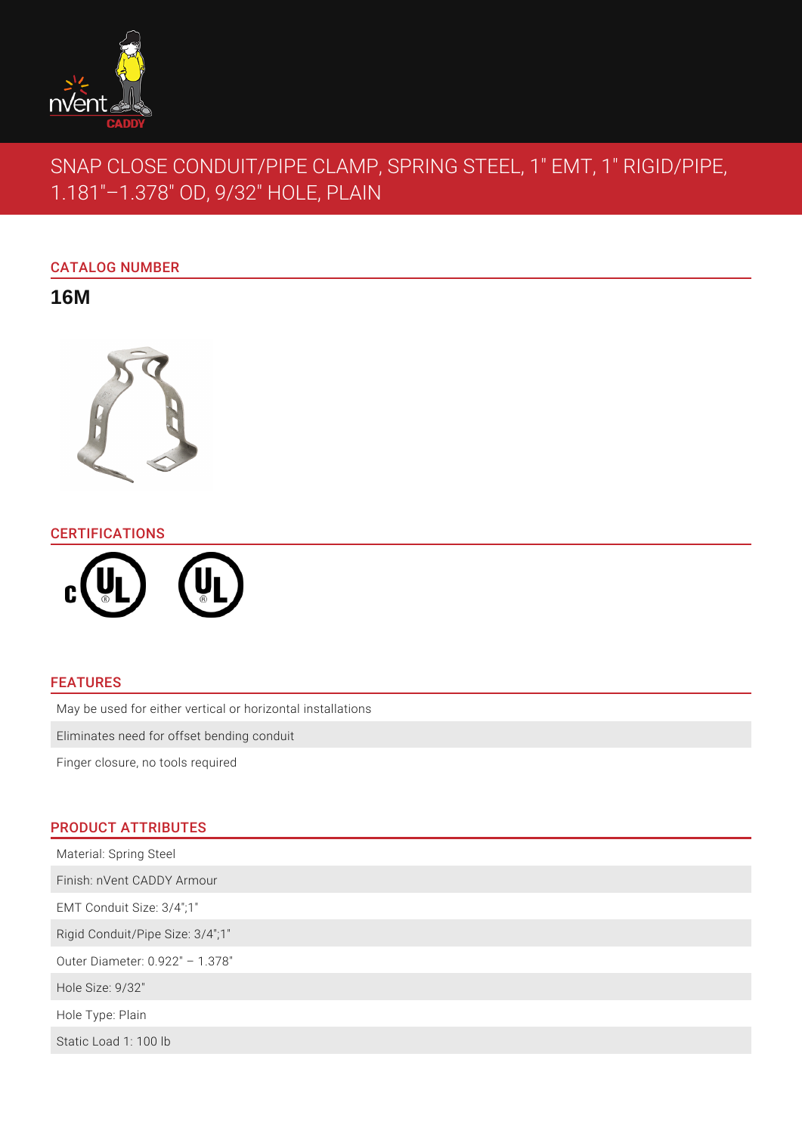

# SNAP CLOSE CONDUIT/PIPE CLAMP, SPRING STEEL, 1" EMT, 1" RIGID/PIPE, 1.181"–1.378" OD, 9/32" HOLE, PLAIN

# CATALOG NUMBER

**16M**



# CERTIFICATIONS



### FEATURES

May be used for either vertical or horizontal installations

Eliminates need for offset bending conduit

Finger closure, no tools required

# PRODUCT ATTRIBUTES

| Material: Spring Steel           |  |
|----------------------------------|--|
| Finish: nVent CADDY Armour       |  |
| EMT Conduit Size: 3/4";1"        |  |
| Rigid Conduit/Pipe Size: 3/4";1" |  |
| Outer Diameter: 0.922" - 1.378"  |  |
| Hole Size: 9/32"                 |  |
| Hole Type: Plain                 |  |
| Static Load 1: 100 lb            |  |